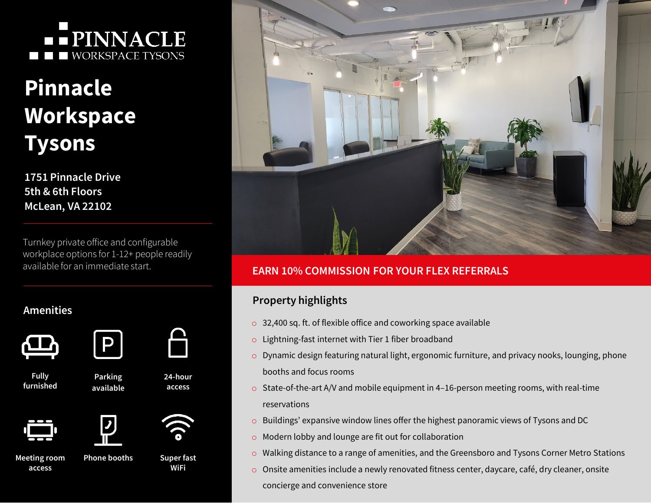## **-- PINNACLE NORKSPACE TYSONS**

# **Pinnacle Workspace Tysons**

**1751 Pinnacle Drive 5th & 6th Floors McLean, VA 22102**

Turnkey private office and configurable workplace options for 1-12+ people readily available for an immediate start.

P

### **Amenities**





**Fully furnished**











**Meeting room access**

**Phone booths**





#### **EARN 10% COMMISSION FOR YOUR FLEX REFERRALS**

#### **Property highlights**

- o 32,400 sq. ft. of flexible office and coworking space available
- o Lightning-fast internet with Tier 1 fiber broadband
- o Dynamic design featuring natural light, ergonomic furniture, and privacy nooks, lounging, phone booths and focus rooms
- o State-of-the-art A/V and mobile equipment in 4–16-person meeting rooms, with real-time reservations
- o Buildings' expansive window lines offer the highest panoramic views of Tysons and DC
- o Modern lobby and lounge are fit out for collaboration
- o Walking distance to a range of amenities, and the Greensboro and Tysons Corner Metro Stations
- o Onsite amenities include a newly renovated fitness center, daycare, café, dry cleaner, onsite concierge and convenience store